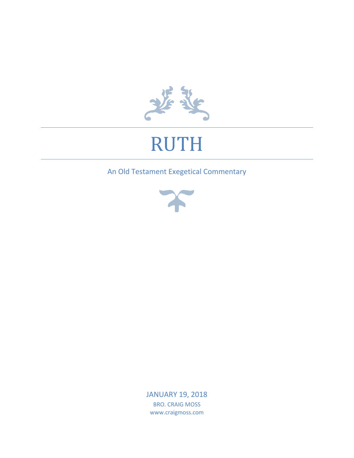

# RUTH

## An Old Testament Exegetical Commentary



JANUARY 19, 2018 BRO. CRAIG MOSS www.craigmoss.com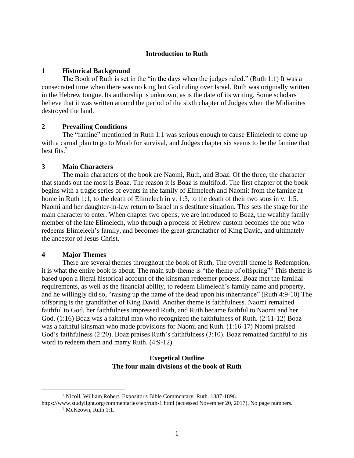## **Introduction to Ruth**

#### **1 Historical Background**

The Book of Ruth is set in the "in the days when the judges ruled." (Ruth 1:1) It was a consecrated time when there was no king but God ruling over Israel. Ruth was originally written in the Hebrew tongue. Its authorship is unknown, as is the date of its writing. Some scholars believe that it was written around the period of the sixth chapter of Judges when the Midianites destroyed the land.

#### **2 Prevailing Conditions**

The "famine" mentioned in Ruth 1:1 was serious enough to cause Elimelech to come up with a carnal plan to go to Moab for survival, and Judges chapter six seems to be the famine that best fits.<sup>2</sup>

#### **3 Main Characters**

The main characters of the book are Naomi, Ruth, and Boaz. Of the three, the character that stands out the most is Boaz. The reason it is Boaz is multifold. The first chapter of the book begins with a tragic series of events in the family of Elimelech and Naomi: from the famine at home in Ruth 1:1, to the death of Elimelech in v. 1:3, to the death of their two sons in v. 1:5. Naomi and her daughter-in-law return to Israel in s destitute situation. This sets the stage for the main character to enter. When chapter two opens, we are introduced to Boaz, the wealthy family member of the late Elimelech, who through a process of Hebrew custom becomes the one who redeems Elimelech's family, and becomes the great-grandfather of King David, and ultimately the ancestor of Jesus Christ.

#### **4 Major Themes**

 $\overline{a}$ 

There are several themes throughout the book of Ruth, The overall theme is Redemption, it is what the entire book is about. The main sub-theme is "the theme of offspring"<sup>3</sup> This theme is based upon a literal historical account of the kinsman redeemer process. Boaz met the familial requirements, as well as the financial ability, to redeem Elimelech's family name and property, and he willingly did so, "raising up the name of the dead upon his inheritance" (Ruth 4:9-10) The offspring is the grandfather of King David. Another theme is faithfulness. Naomi remained faithful to God, her faithfulness impressed Ruth, and Ruth became faithful to Naomi and her God. (1:16) Boaz was a faithful man who recognized the faithfulness of Ruth. (2:11-12) Boaz was a faithful kinsman who made provisions for Naomi and Ruth. (1:16-17) Naomi praised God's faithfulness (2:20). Boaz praises Ruth's faithfulness (3:10). Boaz remained faithful to his word to redeem them and marry Ruth. (4:9-12)

## **Exegetical Outline The four main divisions of the book of Ruth**

<sup>2</sup> Nicoll, William Robert. Expositor's Bible Commentary: Ruth. 1887-1896.

https://www.studylight.org/commentaries/teb/ruth-1.html (accessed November 20, 2017), No page numbers. <sup>3</sup> McKeown, Ruth 1:1.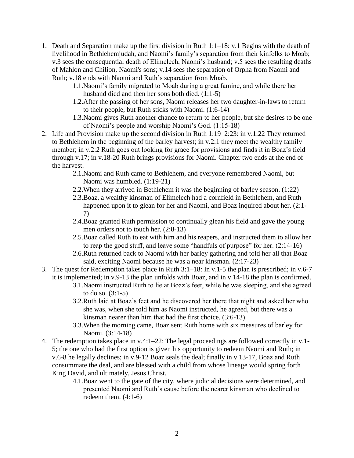- 1. Death and Separation make up the first division in Ruth 1:1–18: v.1 Begins with the death of livelihood in Bethlehemjudah, and Naomi's family's separation from their kinfolks to Moab; v.3 sees the consequential death of Elimelech, Naomi's husband; v.5 sees the resulting deaths of Mahlon and Chilion, Naomi's sons; v.14 sees the separation of Orpha from Naomi and Ruth; v.18 ends with Naomi and Ruth's separation from Moab.
	- 1.1.Naomi's family migrated to Moab during a great famine, and while there her husband died and then her sons both died. (1:1-5)
	- 1.2.After the passing of her sons, Naomi releases her two daughter-in-laws to return to their people, but Ruth sticks with Naomi. (1:6-14)
	- 1.3.Naomi gives Ruth another chance to return to her people, but she desires to be one of Naomi's people and worship Naomi's God. (1:15-18)
- 2. Life and Provision make up the second division in Ruth 1:19–2:23: in v.1:22 They returned to Bethlehem in the beginning of the barley harvest; in v.2:1 they meet the wealthy family member; in v.2:2 Ruth goes out looking for grace for provisions and finds it in Boaz's field through v.17; in v.18-20 Ruth brings provisions for Naomi. Chapter two ends at the end of the harvest.
	- 2.1.Naomi and Ruth came to Bethlehem, and everyone remembered Naomi, but Naomi was humbled. (1:19-21)
	- 2.2.When they arrived in Bethlehem it was the beginning of barley season. (1:22)
	- 2.3.Boaz, a wealthy kinsman of Elimelech had a cornfield in Bethlehem, and Ruth happened upon it to glean for her and Naomi, and Boaz inquired about her. (2:1- 7)
	- 2.4.Boaz granted Ruth permission to continually glean his field and gave the young men orders not to touch her. (2:8-13)
	- 2.5.Boaz called Ruth to eat with him and his reapers, and instructed them to allow her to reap the good stuff, and leave some "handfuls of purpose" for her. (2:14-16)
	- 2.6.Ruth returned back to Naomi with her barley gathering and told her all that Boaz said, exciting Naomi because he was a near kinsman. (2:17-23)
- 3. The quest for Redemption takes place in Ruth 3:1–18: In v.1-5 the plan is prescribed; in v.6-7 it is implemented; in v.9-13 the plan unfolds with Boaz, and in v.14-18 the plan is confirmed.
	- 3.1.Naomi instructed Ruth to lie at Boaz's feet, while he was sleeping, and she agreed to do so. (3:1-5)
	- 3.2.Ruth laid at Boaz's feet and he discovered her there that night and asked her who she was, when she told him as Naomi instructed, he agreed, but there was a kinsman nearer than him that had the first choice. (3:6-13)
	- 3.3.When the morning came, Boaz sent Ruth home with six measures of barley for Naomi. (3:14-18)
- 4. The redemption takes place in v.4:1–22: The legal proceedings are followed correctly in v.1- 5; the one who had the first option is given his opportunity to redeem Naomi and Ruth; in v.6-8 he legally declines; in v.9-12 Boaz seals the deal; finally in v.13-17, Boaz and Ruth consummate the deal, and are blessed with a child from whose lineage would spring forth King David, and ultimately, Jesus Christ.
	- 4.1.Boaz went to the gate of the city, where judicial decisions were determined, and presented Naomi and Ruth's cause before the nearer kinsman who declined to redeem them.  $(4:1-6)$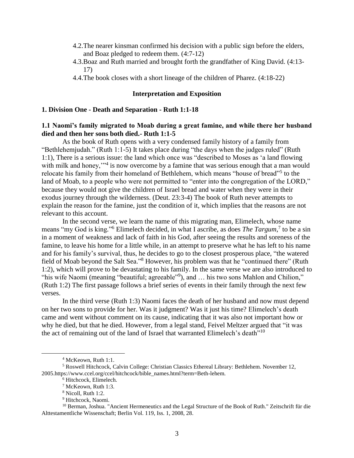- 4.2.The nearer kinsman confirmed his decision with a public sign before the elders, and Boaz pledged to redeem them. (4:7-12)
- 4.3.Boaz and Ruth married and brought forth the grandfather of King David. (4:13- 17)
- 4.4.The book closes with a short lineage of the children of Pharez. (4:18-22)

#### **Interpretation and Exposition**

#### **1. Division One - Death and Separation - Ruth 1:1-18**

#### **1.1 Naomi's family migrated to Moab during a great famine, and while there her husband died and then her sons both died.- Ruth 1:1-5**

As the book of Ruth opens with a very condensed family history of a family from "Bethlehemjudah." (Ruth 1:1-5) It takes place during "the days when the judges ruled" (Ruth 1:1), There is a serious issue: the land which once was "described to Moses as 'a land flowing with milk and honey,"<sup>4</sup> is now overcome by a famine that was serious enough that a man would relocate his family from their homeland of Bethlehem, which means "house of bread"<sup>5</sup> to the land of Moab, to a people who were not permitted to "enter into the congregation of the LORD," because they would not give the children of Israel bread and water when they were in their exodus journey through the wilderness. (Deut. 23:3-4) The book of Ruth never attempts to explain the reason for the famine, just the condition of it, which implies that the reasons are not relevant to this account.

In the second verse, we learn the name of this migrating man, Elimelech, whose name means "my God is king."<sup>6</sup> Elimelech decided, in what I ascribe, as does *The Targum*,<sup>7</sup> to be a sin in a moment of weakness and lack of faith in his God, after seeing the results and soreness of the famine, to leave his home for a little while, in an attempt to preserve what he has left to his name and for his family's survival, thus, he decides to go to the closest prosperous place, "the watered field of Moab beyond the Salt Sea."<sup>8</sup> However, his problem was that he "continued there" (Ruth 1:2), which will prove to be devastating to his family. In the same verse we are also introduced to "his wife Naomi (meaning "beautiful; agreeable"<sup>9</sup>), and ... his two sons Mahlon and Chilion," (Ruth 1:2) The first passage follows a brief series of events in their family through the next few verses.

In the third verse (Ruth 1:3) Naomi faces the death of her husband and now must depend on her two sons to provide for her. Was it judgment? Was it just his time? Elimelech's death came and went without comment on its cause, indicating that it was also not important how or why he died, but that he died. However, from a legal stand, Feivel Meltzer argued that "it was the act of remaining out of the land of Israel that warranted Elimelech's death<sup>"10</sup>

<sup>4</sup> McKeown, Ruth 1:1.

<sup>5</sup> Roswell Hitchcock, Calvin College: Christian Classics Ethereal Library: Bethlehem. November 12, 2005.https://www.ccel.org/ccel/hitchcock/bible\_names.html?term=Beth-lehem.

<sup>6</sup> Hitchcock, Elimelech.

<sup>7</sup> McKeown, Ruth 1:3.

<sup>8</sup> Nicoll, Ruth 1:2.

<sup>&</sup>lt;sup>9</sup> Hitchcock, Naomi.

<sup>&</sup>lt;sup>10</sup> Berman, Joshua. "Ancient Hermeneutics and the Legal Structure of the Book of Ruth." Zeitschrift für die Alttestamentliche Wissenschaft; Berlin Vol. 119, Iss. 1, 2008, 28.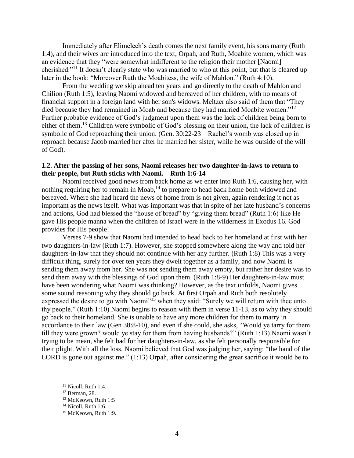Immediately after Elimelech's death comes the next family event, his sons marry (Ruth 1:4), and their wives are introduced into the text, Orpah, and Ruth, Moabite women, which was an evidence that they "were somewhat indifferent to the religion their mother [Naomi] cherished."<sup>11</sup> It doesn't clearly state who was married to who at this point, but that is cleared up later in the book: "Moreover Ruth the Moabitess, the wife of Mahlon." (Ruth 4:10).

From the wedding we skip ahead ten years and go directly to the death of Mahlon and Chilion (Ruth 1:5), leaving Naomi widowed and bereaved of her children, with no means of financial support in a foreign land with her son's widows. Meltzer also said of them that "They died because they had remained in Moab and because they had married Moabite women."<sup>12</sup> Further probable evidence of God's judgment upon them was the lack of children being born to either of them.<sup>13</sup> Children were symbolic of God's blessing on their union, the lack of children is symbolic of God reproaching their union. (Gen. 30:22-23 – Rachel's womb was closed up in reproach because Jacob married her after he married her sister, while he was outside of the will of God).

## **1.2. After the passing of her sons, Naomi releases her two daughter-in-laws to return to their people, but Ruth sticks with Naomi. – Ruth 1:6-14**

Naomi received good news from back home as we enter into Ruth 1:6, causing her, with nothing requiring her to remain in Moab,<sup>14</sup> to prepare to head back home both widowed and bereaved. Where she had heard the news of home from is not given, again rendering it not as important as the news itself. What was important was that in spite of her late husband's concerns and actions, God had blessed the "house of bread" by "giving them bread" (Ruth 1:6) like He gave His people manna when the children of Israel were in the wilderness in Exodus 16. God provides for His people!

Verses 7-9 show that Naomi had intended to head back to her homeland at first with her two daughters-in-law (Ruth 1:7). However, she stopped somewhere along the way and told her daughters-in-law that they should not continue with her any further. (Ruth 1:8) This was a very difficult thing, surely for over ten years they dwelt together as a family, and now Naomi is sending them away from her. She was not sending them away empty, but rather her desire was to send them away with the blessings of God upon them. (Ruth 1:8-9) Her daughters-in-law must have been wondering what Naomi was thinking? However, as the text unfolds, Naomi gives some sound reasoning why they should go back. At first Orpah and Ruth both resolutely expressed the desire to go with Naomi<sup>"15</sup> when they said: "Surely we will return with thee unto thy people." (Ruth 1:10) Naomi begins to reason with them in verse 11-13, as to why they should go back to their homeland. She is unable to have any more children for them to marry in accordance to their law (Gen 38:8-10), and even if she could, she asks, "Would ye tarry for them till they were grown? would ye stay for them from having husbands?" (Ruth 1:13) Naomi wasn't trying to be mean, she felt bad for her daughters-in-law, as she felt personally responsible for their plight. With all the loss, Naomi believed that God was judging her, saying: "the hand of the LORD is gone out against me." (1:13) Orpah, after considering the great sacrifice it would be to

<sup>&</sup>lt;sup>11</sup> Nicoll, Ruth 1:4.

<sup>12</sup> Berman, 28.

<sup>&</sup>lt;sup>13</sup> McKeown, Ruth 1:5

 $14$  Nicoll, Ruth 1:6.

<sup>&</sup>lt;sup>15</sup> McKeown, Ruth 1:9.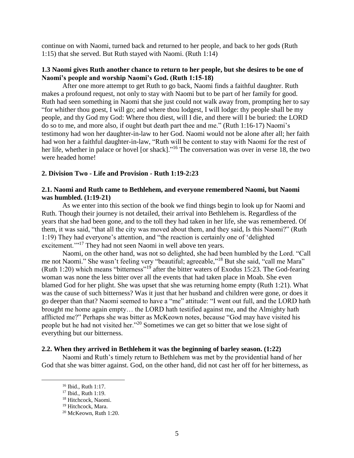continue on with Naomi, turned back and returned to her people, and back to her gods (Ruth 1:15) that she served. But Ruth stayed with Naomi. (Ruth 1:14)

## **1.3 Naomi gives Ruth another chance to return to her people, but she desires to be one of Naomi's people and worship Naomi's God. (Ruth 1:15-18)**

After one more attempt to get Ruth to go back, Naomi finds a faithful daughter. Ruth makes a profound request, not only to stay with Naomi but to be part of her family for good. Ruth had seen something in Naomi that she just could not walk away from, prompting her to say "for whither thou goest, I will go; and where thou lodgest, I will lodge: thy people shall be my people, and thy God my God: Where thou diest, will I die, and there will I be buried: the LORD do so to me, and more also, if ought but death part thee and me." (Ruth 1:16-17) Naomi's testimony had won her daughter-in-law to her God. Naomi would not be alone after all; her faith had won her a faithful daughter-in-law, "Ruth will be content to stay with Naomi for the rest of her life, whether in palace or hovel [or shack]."<sup>16</sup> The conversation was over in verse 18, the two were headed home!

#### **2. Division Two - Life and Provision - Ruth 1:19-2:23**

#### **2.1. Naomi and Ruth came to Bethlehem, and everyone remembered Naomi, but Naomi was humbled. (1:19-21)**

As we enter into this section of the book we find things begin to look up for Naomi and Ruth. Though their journey is not detailed, their arrival into Bethlehem is. Regardless of the years that she had been gone, and to the toll they had taken in her life, she was remembered. Of them, it was said, "that all the city was moved about them, and they said, Is this Naomi?" (Ruth 1:19) They had everyone's attention, and "the reaction is certainly one of 'delighted excitement."<sup>17</sup> They had not seen Naomi in well above ten years.

Naomi, on the other hand, was not so delighted, she had been humbled by the Lord. "Call me not Naomi." She wasn't feeling very "beautiful; agreeable,"<sup>18</sup> But she said, "call me Mara" (Ruth 1:20) which means "bitterness"<sup>19</sup> after the bitter waters of Exodus 15:23. The God-fearing woman was none the less bitter over all the events that had taken place in Moab. She even blamed God for her plight. She was upset that she was returning home empty (Ruth 1:21). What was the cause of such bitterness? Was it just that her husband and children were gone, or does it go deeper than that? Naomi seemed to have a "me" attitude: "I went out full, and the LORD hath brought me home again empty… the LORD hath testified against me, and the Almighty hath afflicted me?" Perhaps she was bitter as McKeown notes, because "God may have visited his people but he had not visited her."<sup>20</sup> Sometimes we can get so bitter that we lose sight of everything but our bitterness.

#### **2.2. When they arrived in Bethlehem it was the beginning of barley season. (1:22)**

Naomi and Ruth's timely return to Bethlehem was met by the providential hand of her God that she was bitter against. God, on the other hand, did not cast her off for her bitterness, as

<sup>16</sup> Ibid., Ruth 1:17.

<sup>&</sup>lt;sup>17</sup> Ibid., Ruth 1:19.

<sup>18</sup> Hitchcock, Naomi.

<sup>&</sup>lt;sup>19</sup> Hitchcock, Mara.

<sup>20</sup> McKeown, Ruth 1:20.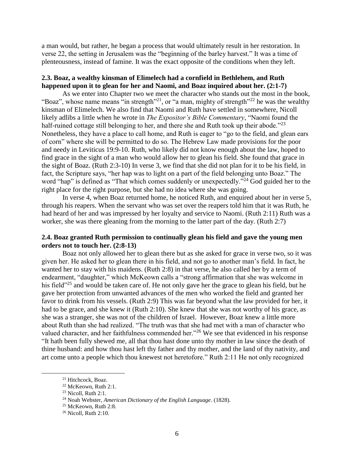a man would, but rather, he began a process that would ultimately result in her restoration. In verse 22, the setting in Jerusalem was the "beginning of the barley harvest." It was a time of plenteousness, instead of famine. It was the exact opposite of the conditions when they left.

## **2.3. Boaz, a wealthy kinsman of Elimelech had a cornfield in Bethlehem, and Ruth happened upon it to glean for her and Naomi, and Boaz inquired about her. (2:1-7)**

As we enter into Chapter two we meet the character who stands out the most in the book, "Boaz", whose name means "in strength"<sup>21</sup>, or "a man, mighty of strength"<sup>22</sup> he was the wealthy kinsman of Elimelech. We also find that Naomi and Ruth have settled in somewhere, Nicoll likely adlibs a little when he wrote in *The Expositor's Bible Commentary*, "Naomi found the half-ruined cottage still belonging to her, and there she and Ruth took up their abode."<sup>23</sup> Nonetheless, they have a place to call home, and Ruth is eager to "go to the field, and glean ears of corn" where she will be permitted to do so. The Hebrew Law made provisions for the poor and needy in Leviticus 19:9-10. Ruth, who likely did not know enough about the law, hoped to find grace in the sight of a man who would allow her to glean his field. She found that grace in the sight of Boaz. (Ruth 2:3-10) In verse 3, we find that she did not plan for it to be his field, in fact, the Scripture says, "her hap was to light on a part of the field belonging unto Boaz." The word "hap" is defined as "That which comes suddenly or unexpectedly."<sup>24</sup> God guided her to the right place for the right purpose, but she had no idea where she was going.

In verse 4, when Boaz returned home, he noticed Ruth, and enquired about her in verse 5, through his reapers. When the servant who was set over the reapers told him that it was Ruth, he had heard of her and was impressed by her loyalty and service to Naomi. (Ruth 2:11) Ruth was a worker, she was there gleaning from the morning to the latter part of the day. (Ruth 2:7)

#### **2.4. Boaz granted Ruth permission to continually glean his field and gave the young men orders not to touch her. (2:8-13)**

Boaz not only allowed her to glean there but as she asked for grace in verse two, so it was given her. He asked her to glean there in his field, and not go to another man's field. In fact, he wanted her to stay with his maidens. (Ruth 2:8) in that verse, he also called her by a term of endearment, "daughter," which McKeown calls a "strong affirmation that she was welcome in his field"<sup>25</sup> and would be taken care of. He not only gave her the grace to glean his field, but he gave her protection from unwanted advances of the men who worked the field and granted her favor to drink from his vessels. (Ruth 2:9) This was far beyond what the law provided for her, it had to be grace, and she knew it (Ruth 2:10). She knew that she was not worthy of his grace, as she was a stranger, she was not of the children of Israel. However, Boaz knew a little more about Ruth than she had realized. "The truth was that she had met with a man of character who valued character, and her faithfulness commended her."<sup>26</sup> We see that evidenced in his response "It hath been fully shewed me, all that thou hast done unto thy mother in law since the death of thine husband: and how thou hast left thy father and thy mother, and the land of thy nativity, and art come unto a people which thou knewest not heretofore." Ruth 2:11 He not only recognized

<sup>21</sup> Hitchcock, Boaz.

<sup>22</sup> McKeown, Ruth 2:1.

 $23$  Nicoll, Ruth 2:1.

<sup>24</sup> Noah Webster, *American Dictionary of the English Language*. (1828).

<sup>25</sup> McKeown, Ruth 2:8.

<sup>26</sup> Nicoll, Ruth 2:10.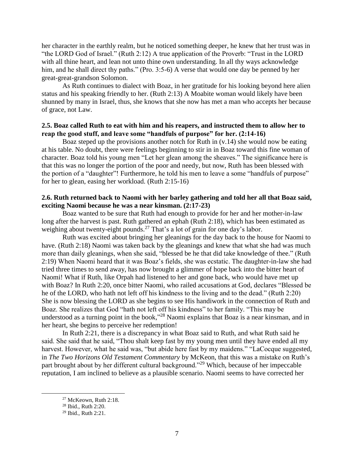her character in the earthly realm, but he noticed something deeper, he knew that her trust was in "the LORD God of Israel." (Ruth 2:12) A true application of the Proverb: "Trust in the LORD with all thine heart, and lean not unto thine own understanding. In all thy ways acknowledge him, and he shall direct thy paths." (Pro. 3:5-6) A verse that would one day be penned by her great-great-grandson Solomon.

As Ruth continues to dialect with Boaz, in her gratitude for his looking beyond here alien status and his speaking friendly to her. (Ruth 2:13) A Moabite woman would likely have been shunned by many in Israel, thus, she knows that she now has met a man who accepts her because of grace, not Law.

#### **2.5. Boaz called Ruth to eat with him and his reapers, and instructed them to allow her to reap the good stuff, and leave some "handfuls of purpose" for her. (2:14-16)**

Boaz steped up the provisions another notch for Ruth in  $(v.14)$  she would now be eating at his table. No doubt, there were feelings beginning to stir in in Boaz toward this fine woman of character. Boaz told his young men "Let her glean among the sheaves." The significance here is that this was no longer the portion of the poor and needy, but now, Ruth has been blessed with the portion of a "daughter"! Furthermore, he told his men to leave a some "handfuls of purpose" for her to glean, easing her workload. (Ruth 2:15-16)

## **2.6. Ruth returned back to Naomi with her barley gathering and told her all that Boaz said, exciting Naomi because he was a near kinsman. (2:17-23)**

Boaz wanted to be sure that Ruth had enough to provide for her and her mother-in-law long after the harvest is past. Ruth gathered an ephah (Ruth 2:18), which has been estimated as weighing about twenty-eight pounds.<sup>27</sup> That's a lot of grain for one day's labor.

Ruth was excited about bringing her gleanings for the day back to the house for Naomi to have. (Ruth 2:18) Naomi was taken back by the gleanings and knew that what she had was much more than daily gleanings, when she said, "blessed be he that did take knowledge of thee." (Ruth 2:19) When Naomi heard that it was Boaz's fields, she was ecstatic. The daughter-in-law she had tried three times to send away, has now brought a glimmer of hope back into the bitter heart of Naomi! What if Ruth, like Orpah had listened to her and gone back, who would have met up with Boaz? In Ruth 2:20, once bitter Naomi, who railed accusations at God, declares "Blessed be he of the LORD, who hath not left off his kindness to the living and to the dead." (Ruth 2:20) She is now blessing the LORD as she begins to see His handiwork in the connection of Ruth and Boaz. She realizes that God "hath not left off his kindness" to her family. "This may be understood as a turning point in the book,"<sup>28</sup> Naomi explains that Boaz is a near kinsman, and in her heart, she begins to perceive her redemption!

In Ruth 2:21, there is a discrepancy in what Boaz said to Ruth, and what Ruth said he said. She said that he said, "Thou shalt keep fast by my young men until they have ended all my harvest. However, what he said was, "but abide here fast by my maidens." "LaCocque suggested, in *The Two Horizons Old Testament Commentary* by McKeon, that this was a mistake on Ruth's part brought about by her different cultural background."<sup>29</sup> Which, because of her impeccable reputation, I am inclined to believe as a plausible scenario. Naomi seems to have corrected her

<sup>27</sup> McKeown, Ruth 2:18.

<sup>28</sup> Ibid., Ruth 2:20.

<sup>29</sup> Ibid., Ruth 2:21.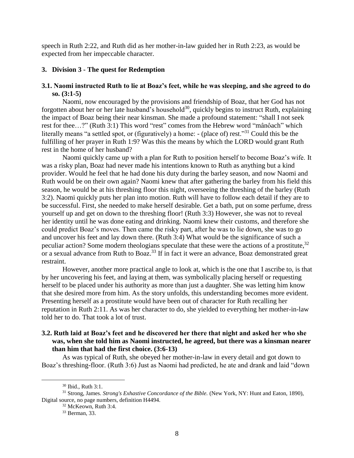speech in Ruth 2:22, and Ruth did as her mother-in-law guided her in Ruth 2:23, as would be expected from her impeccable character.

#### **3. Division 3 - The quest for Redemption**

#### **3.1. Naomi instructed Ruth to lie at Boaz's feet, while he was sleeping, and she agreed to do so. (3:1-5)**

Naomi, now encouraged by the provisions and friendship of Boaz, that her God has not forgotten about her or her late husband's household<sup>30</sup>, quickly begins to instruct Ruth, explaining the impact of Boaz being their near kinsman. She made a profound statement: "shall I not seek rest for thee…?" (Ruth 3:1) This word "rest" comes from the Hebrew word "mânôach" which literally means "a settled spot, or (figuratively) a home: - (place of) rest.<sup>331</sup> Could this be the fulfilling of her prayer in Ruth 1:9? Was this the means by which the LORD would grant Ruth rest in the home of her husband?

Naomi quickly came up with a plan for Ruth to position herself to become Boaz's wife. It was a risky plan, Boaz had never made his intentions known to Ruth as anything but a kind provider. Would he feel that he had done his duty during the barley season, and now Naomi and Ruth would be on their own again? Naomi knew that after gathering the barley from his field this season, he would be at his threshing floor this night, overseeing the threshing of the barley (Ruth 3:2). Naomi quickly puts her plan into motion. Ruth will have to follow each detail if they are to be successful. First, she needed to make herself desirable. Get a bath, put on some perfume, dress yourself up and get on down to the threshing floor! (Ruth 3:3) However, she was not to reveal her identity until he was done eating and drinking. Naomi knew their customs, and therefore she could predict Boaz's moves. Then came the risky part, after he was to lie down, she was to go and uncover his feet and lay down there. (Ruth 3:4) What would be the significance of such a peculiar action? Some modern theologians speculate that these were the actions of a prostitute,  $32$ or a sexual advance from Ruth to Boaz.<sup>33</sup> If in fact it were an advance, Boaz demonstrated great restraint.

However, another more practical angle to look at, which is the one that I ascribe to, is that by her uncovering his feet, and laying at them, was symbolically placing herself or requesting herself to be placed under his authority as more than just a daughter. She was letting him know that she desired more from him. As the story unfolds, this understanding becomes more evident. Presenting herself as a prostitute would have been out of character for Ruth recalling her reputation in Ruth 2:11. As was her character to do, she yielded to everything her mother-in-law told her to do. That took a lot of trust.

#### **3.2. Ruth laid at Boaz's feet and he discovered her there that night and asked her who she was, when she told him as Naomi instructed, he agreed, but there was a kinsman nearer than him that had the first choice. (3:6-13)**

As was typical of Ruth, she obeyed her mother-in-law in every detail and got down to Boaz's threshing-floor. (Ruth 3:6) Just as Naomi had predicted, he ate and drank and laid "down

<sup>30</sup> Ibid., Ruth 3:1.

<sup>31</sup> Strong, James. *Strong's Exhastive Concordance of the Bible.* (New York, NY: Hunt and Eaton, 1890), Digital source, no page numbers, definition H4494.

<sup>32</sup> McKeown, Ruth 3:4.

<sup>33</sup> Berman, 33.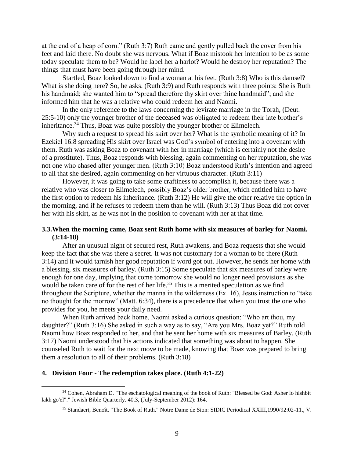at the end of a heap of corn." (Ruth 3:7) Ruth came and gently pulled back the cover from his feet and laid there. No doubt she was nervous. What if Boaz mistook her intention to be as some today speculate them to be? Would he label her a harlot? Would he destroy her reputation? The things that must have been going through her mind.

Startled, Boaz looked down to find a woman at his feet. (Ruth 3:8) Who is this damsel? What is she doing here? So, he asks. (Ruth 3:9) and Ruth responds with three points: She is Ruth his handmaid; she wanted him to "spread therefore thy skirt over thine handmaid"; and she informed him that he was a relative who could redeem her and Naomi.

In the only reference to the laws concerning the levirate marriage in the Torah, (Deut. 25:5-10) only the younger brother of the deceased was obligated to redeem their late brother's inheritance.<sup>34</sup> Thus, Boaz was quite possibly the younger brother of Elimelech.

Why such a request to spread his skirt over her? What is the symbolic meaning of it? In Ezekiel 16:8 spreading His skirt over Israel was God's symbol of entering into a covenant with them. Ruth was asking Boaz to covenant with her in marriage (which is certainly not the desire of a prostitute). Thus, Boaz responds with blessing, again commenting on her reputation, she was not one who chased after younger men. (Ruth 3:10) Boaz understood Ruth's intention and agreed to all that she desired, again commenting on her virtuous character. (Ruth 3:11)

However, it was going to take some craftiness to accomplish it, because there was a relative who was closer to Elimelech, possibly Boaz's older brother, which entitled him to have the first option to redeem his inheritance. (Ruth 3:12) He will give the other relative the option in the morning, and if he refuses to redeem them than he will. (Ruth 3:13) Thus Boaz did not cover her with his skirt, as he was not in the position to covenant with her at that time.

#### **3.3.When the morning came, Boaz sent Ruth home with six measures of barley for Naomi. (3:14-18)**

After an unusual night of secured rest, Ruth awakens, and Boaz requests that she would keep the fact that she was there a secret. It was not customary for a woman to be there (Ruth 3:14) and it would tarnish her good reputation if word got out. However, he sends her home with a blessing, six measures of barley. (Ruth 3:15) Some speculate that six measures of barley were enough for one day, implying that come tomorrow she would no longer need provisions as she would be taken care of for the rest of her life.<sup>35</sup> This is a merited speculation as we find throughout the Scripture, whether the manna in the wilderness (Ex. 16), Jesus instruction to "take no thought for the morrow" (Matt. 6:34), there is a precedence that when you trust the one who provides for you, he meets your daily need.

When Ruth arrived back home, Naomi asked a curious question: "Who art thou, my daughter?" (Ruth 3:16) She asked in such a way as to say, "Are you Mrs. Boaz yet?" Ruth told Naomi how Boaz responded to her, and that he sent her home with six measures of Barley. (Ruth 3:17) Naomi understood that his actions indicated that something was about to happen. She counseled Ruth to wait for the next move to be made, knowing that Boaz was prepared to bring them a resolution to all of their problems. (Ruth 3:18)

#### **4. Division Four - The redemption takes place. (Ruth 4:1-22)**

<sup>34</sup> Cohen, Abraham D. "The eschatological meaning of the book of Ruth: "Blessed be God: Asher lo hishbit lakh go'el"." Jewish Bible Quarterly. 40.3, (July-September 2012): 164.

<sup>35</sup> Standaert, Benoît. "The Book of Ruth." Notre Dame de Sion: SIDIC Periodical XXIII,1990/92:02-11., V.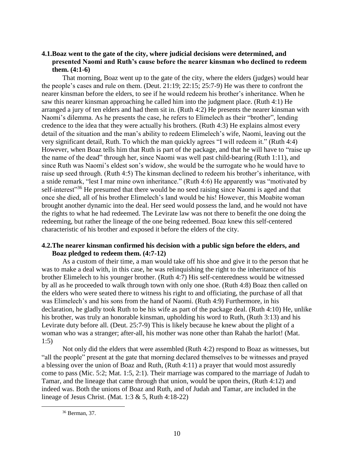## **4.1.Boaz went to the gate of the city, where judicial decisions were determined, and presented Naomi and Ruth's cause before the nearer kinsman who declined to redeem them. (4:1-6)**

That morning, Boaz went up to the gate of the city, where the elders (judges) would hear the people's cases and rule on them. (Deut. 21:19; 22:15; 25:7-9) He was there to confront the nearer kinsman before the elders, to see if he would redeem his brother's inheritance. When he saw this nearer kinsman approaching he called him into the judgment place. (Ruth 4:1) He arranged a jury of ten elders and had them sit in. (Ruth 4:2) He presents the nearer kinsman with Naomi's dilemma. As he presents the case, he refers to Elimelech as their "brother", lending credence to the idea that they were actually his brothers. (Ruth 4:3) He explains almost every detail of the situation and the man's ability to redeem Elimelech's wife, Naomi, leaving out the very significant detail, Ruth. To which the man quickly agrees "I will redeem it." (Ruth 4:4) However, when Boaz tells him that Ruth is part of the package, and that he will have to "raise up the name of the dead" through her, since Naomi was well past child-bearing (Ruth 1:11), and since Ruth was Naomi's eldest son's widow, she would be the surrogate who he would have to raise up seed through. (Ruth 4:5) The kinsman declined to redeem his brother's inheritance, with a snide remark, "lest I mar mine own inheritance." (Ruth 4:6) He apparently was "motivated by self-interest"<sup>36</sup> He presumed that there would be no seed raising since Naomi is aged and that once she died, all of his brother Elimelech's land would be his! However, this Moabite woman brought another dynamic into the deal. Her seed would possess the land, and he would not have the rights to what he had redeemed. The Levirate law was not there to benefit the one doing the redeeming, but rather the lineage of the one being redeemed. Boaz knew this self-centered characteristic of his brother and exposed it before the elders of the city.

## **4.2.The nearer kinsman confirmed his decision with a public sign before the elders, and Boaz pledged to redeem them. (4:7-12)**

As a custom of their time, a man would take off his shoe and give it to the person that he was to make a deal with, in this case, he was relinquishing the right to the inheritance of his brother Elimelech to his younger brother. (Ruth 4:7) His self-centeredness would be witnessed by all as he proceeded to walk through town with only one shoe. (Ruth 4:8) Boaz then called on the elders who were seated there to witness his right to and officiating, the purchase of all that was Elimelech's and his sons from the hand of Naomi. (Ruth 4:9) Furthermore, in his declaration, he gladly took Ruth to be his wife as part of the package deal. (Ruth 4:10) He, unlike his brother, was truly an honorable kinsman, upholding his word to Ruth, (Ruth 3:13) and his Levirate duty before all. (Deut. 25:7-9) This is likely because he knew about the plight of a woman who was a stranger; after-all, his mother was none other than Rahab the harlot! (Mat. 1:5)

Not only did the elders that were assembled (Ruth 4:2) respond to Boaz as witnesses, but "all the people" present at the gate that morning declared themselves to be witnesses and prayed a blessing over the union of Boaz and Ruth, (Ruth 4:11) a prayer that would most assuredly come to pass (Mic. 5:2; Mat. 1:5, 2:1). Their marriage was compared to the marriage of Judah to Tamar, and the lineage that came through that union, would be upon theirs, (Ruth 4:12) and indeed was. Both the unions of Boaz and Ruth, and of Judah and Tamar, are included in the lineage of Jesus Christ. (Mat. 1:3 & 5, Ruth 4:18-22)

<sup>36</sup> Berman, 37.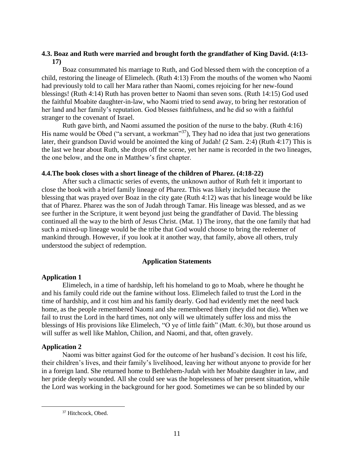## **4.3. Boaz and Ruth were married and brought forth the grandfather of King David. (4:13- 17)**

Boaz consummated his marriage to Ruth, and God blessed them with the conception of a child, restoring the lineage of Elimelech. (Ruth 4:13) From the mouths of the women who Naomi had previously told to call her Mara rather than Naomi, comes rejoicing for her new-found blessings! (Ruth 4:14) Ruth has proven better to Naomi than seven sons. (Ruth 14:15) God used the faithful Moabite daughter-in-law, who Naomi tried to send away, to bring her restoration of her land and her family's reputation. God blesses faithfulness, and he did so with a faithful stranger to the covenant of Israel.

Ruth gave birth, and Naomi assumed the position of the nurse to the baby. (Ruth 4:16) His name would be Obed ("a servant, a workman"<sup>37</sup>), They had no idea that just two generations later, their grandson David would be anointed the king of Judah! (2 Sam. 2:4) (Ruth 4:17) This is the last we hear about Ruth, she drops off the scene, yet her name is recorded in the two lineages, the one below, and the one in Matthew's first chapter.

## **4.4.The book closes with a short lineage of the children of Pharez. (4:18-22)**

After such a climactic series of events, the unknown author of Ruth felt it important to close the book with a brief family lineage of Pharez. This was likely included because the blessing that was prayed over Boaz in the city gate (Ruth 4:12) was that his lineage would be like that of Pharez. Pharez was the son of Judah through Tamar. His lineage was blessed, and as we see further in the Scripture, it went beyond just being the grandfather of David. The blessing continued all the way to the birth of Jesus Christ. (Mat. 1) The irony, that the one family that had such a mixed-up lineage would be the tribe that God would choose to bring the redeemer of mankind through. However, if you look at it another way, that family, above all others, truly understood the subject of redemption.

## **Application Statements**

## **Application 1**

Elimelech, in a time of hardship, left his homeland to go to Moab, where he thought he and his family could ride out the famine without loss. Elimelech failed to trust the Lord in the time of hardship, and it cost him and his family dearly. God had evidently met the need back home, as the people remembered Naomi and she remembered them (they did not die). When we fail to trust the Lord in the hard times, not only will we ultimately suffer loss and miss the blessings of His provisions like Elimelech, "O ye of little faith" (Matt. 6:30), but those around us will suffer as well like Mahlon, Chilion, and Naomi, and that, often gravely.

## **Application 2**

 $\overline{a}$ 

Naomi was bitter against God for the outcome of her husband's decision. It cost his life, their children's lives, and their family's livelihood, leaving her without anyone to provide for her in a foreign land. She returned home to Bethlehem-Judah with her Moabite daughter in law, and her pride deeply wounded. All she could see was the hopelessness of her present situation, while the Lord was working in the background for her good. Sometimes we can be so blinded by our

<sup>&</sup>lt;sup>37</sup> Hitchcock, Obed.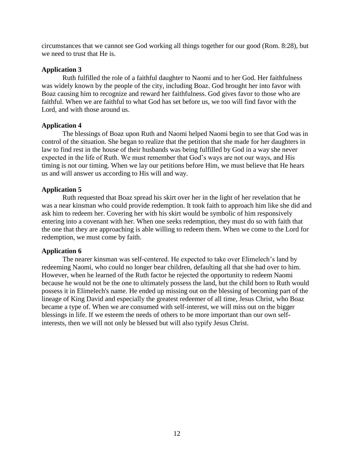circumstances that we cannot see God working all things together for our good (Rom. 8:28), but we need to trust that He is.

## **Application 3**

Ruth fulfilled the role of a faithful daughter to Naomi and to her God. Her faithfulness was widely known by the people of the city, including Boaz. God brought her into favor with Boaz causing him to recognize and reward her faithfulness. God gives favor to those who are faithful. When we are faithful to what God has set before us, we too will find favor with the Lord, and with those around us.

## **Application 4**

The blessings of Boaz upon Ruth and Naomi helped Naomi begin to see that God was in control of the situation. She began to realize that the petition that she made for her daughters in law to find rest in the house of their husbands was being fulfilled by God in a way she never expected in the life of Ruth. We must remember that God's ways are not our ways, and His timing is not our timing. When we lay our petitions before Him, we must believe that He hears us and will answer us according to His will and way.

## **Application 5**

Ruth requested that Boaz spread his skirt over her in the light of her revelation that he was a near kinsman who could provide redemption. It took faith to approach him like she did and ask him to redeem her. Covering her with his skirt would be symbolic of him responsively entering into a covenant with her. When one seeks redemption, they must do so with faith that the one that they are approaching is able willing to redeem them. When we come to the Lord for redemption, we must come by faith.

## **Application 6**

The nearer kinsman was self-centered. He expected to take over Elimelech's land by redeeming Naomi, who could no longer bear children, defaulting all that she had over to him. However, when he learned of the Ruth factor he rejected the opportunity to redeem Naomi because he would not be the one to ultimately possess the land, but the child born to Ruth would possess it in Elimelech's name. He ended up missing out on the blessing of becoming part of the lineage of King David and especially the greatest redeemer of all time, Jesus Christ, who Boaz became a type of. When we are consumed with self-interest, we will miss out on the bigger blessings in life. If we esteem the needs of others to be more important than our own selfinterests, then we will not only be blessed but will also typify Jesus Christ.